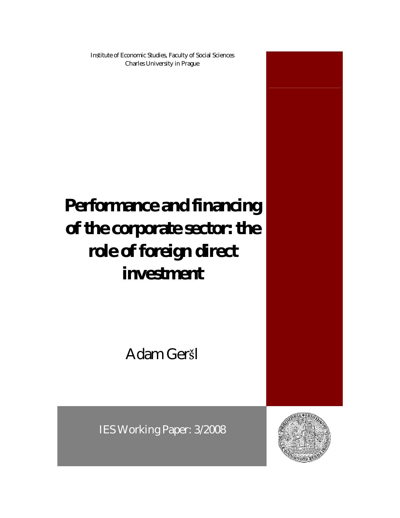Institute of Economic Studies, Faculty of Social Sciences Charles University in Prague

# **Performance and financing of the corporate sector: the role of foreign direct investment**

Adam Geršl

IES Working Paper: 3/2008

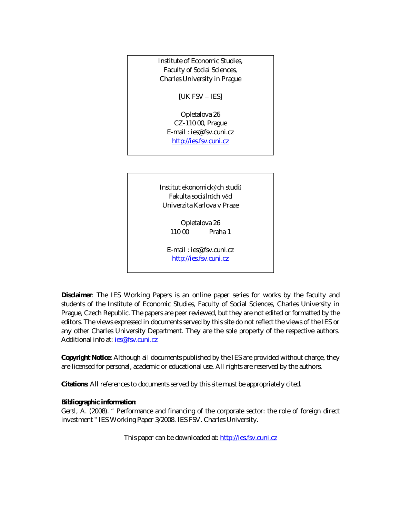Institute of Economic Studies, Faculty of Social Sciences, Charles University in Prague

[UK FSV – IES]

Opletalova 26 CZ-110 00, Prague E-mail : ies@fsv.cuni.cz http://ies.fsv.cuni.cz

Institut ekonomických studií Fakulta sociálních věd Univerzita Karlova v Praze

> Opletalova 26 110 00 Praha 1

E-mail : ies@fsv.cuni.cz http://ies.fsv.cuni.cz

**Disclaimer**: The IES Working Papers is an online paper series for works by the faculty and students of the Institute of Economic Studies, Faculty of Social Sciences, Charles University in Prague, Czech Republic. The papers are peer reviewed, but they are *not* edited or formatted by the editors. The views expressed in documents served by this site do not reflect the views of the IES or any other Charles University Department. They are the sole property of the respective authors. Additional info at: ies@fsv.cuni.cz

**Copyright Notice**: Although all documents published by the IES are provided without charge, they are licensed for personal, academic or educational use. All rights are reserved by the authors.

**Citations**: All references to documents served by this site must be appropriately cited.

**Bibliographic information**:

Geršl, A. (2008). " Performance and financing of the corporate sector: the role of foreign direct investment " IES Working Paper 3/2008. IES FSV. Charles University.

This paper can be downloaded at: http://ies.fsv.cuni.cz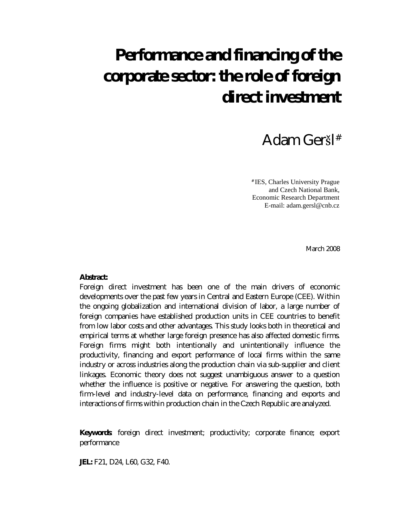## **Performance and financing of the corporate sector: the role of foreign direct investment**

### Adam Geršl #

# IES, Charles University Prague and Czech National Bank, Economic Research Department E-mail: adam.gersl@cnb.cz

March 2008

**Abstract:**

Foreign direct investment has been one of the main drivers of economic developments over the past few years in Central and Eastern Europe (CEE). Within the ongoing globalization and international division of labor, a large number of foreign companies have established production units in CEE countries to benefit from low labor costs and other advantages. This study looks both in theoretical and empirical terms at whether large foreign presence has also affected domestic firms. Foreign firms might both intentionally and unintentionally influence the productivity, financing and export performance of local firms within the same industry or across industries along the production chain via sub-supplier and client linkages. Economic theory does not suggest unambiguous answer to a question whether the influence is positive or negative. For answering the question, both firm-level and industry-level data on performance, financing and exports and interactions of firms within production chain in the Czech Republic are analyzed.

**Keywords**: foreign direct investment; productivity; corporate finance; export performance

**JEL:** F21, D24, L60, G32, F40.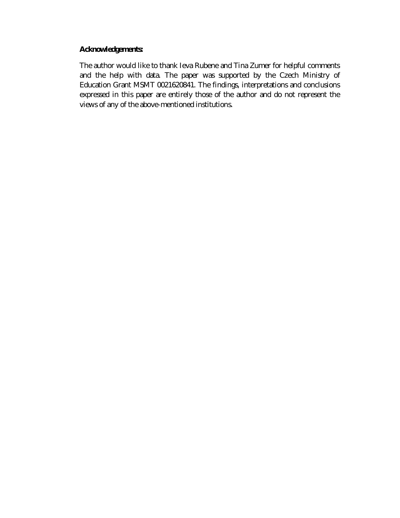**Acknowledgements:**

The author would like to thank Ieva Rubene and Tina Zumer for helpful comments and the help with data. The paper was supported by the Czech Ministry of Education Grant MSMT 0021620841. The findings, interpretations and conclusions expressed in this paper are entirely those of the author and do not represent the views of any of the above-mentioned institutions.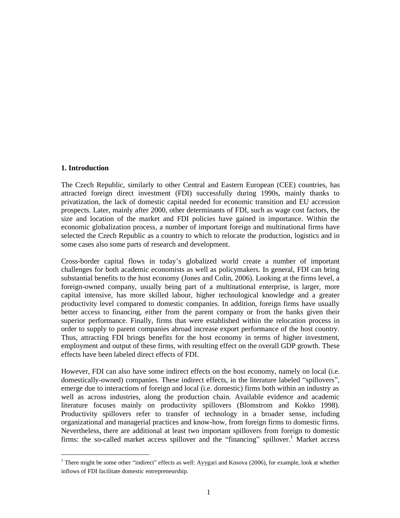#### **1. Introduction**

1

The Czech Republic, similarly to other Central and Eastern European (CEE) countries, has attracted foreign direct investment (FDI) successfully during 1990s, mainly thanks to privatization, the lack of domestic capital needed for economic transition and EU accession prospects. Later, mainly after 2000, other determinants of FDI, such as wage cost factors, the size and location of the market and FDI policies have gained in importance. Within the economic globalization process, a number of important foreign and multinational firms have selected the Czech Republic as a country to which to relocate the production, logistics and in some cases also some parts of research and development.

Cross-border capital flows in today's globalized world create a number of important challenges for both academic economists as well as policymakers. In general, FDI can bring substantial benefits to the host economy (Jones and Colin, 2006). Looking at the firms level, a foreign-owned company, usually being part of a multinational enterprise, is larger, more capital intensive, has more skilled labour, higher technological knowledge and a greater productivity level compared to domestic companies. In addition, foreign firms have usually better access to financing, either from the parent company or from the banks given their superior performance. Finally, firms that were established within the relocation process in order to supply to parent companies abroad increase export performance of the host country. Thus, attracting FDI brings benefits for the host economy in terms of higher investment, employment and output of these firms, with resulting effect on the overall GDP growth. These effects have been labeled direct effects of FDI.

However, FDI can also have some indirect effects on the host economy, namely on local (i.e. domestically-owned) companies. These indirect effects, in the literature labeled "spillovers", emerge due to interactions of foreign and local (i.e. domestic) firms both within an industry as well as across industries, along the production chain. Available evidence and academic literature focuses mainly on productivity spillovers (Blomstrom and Kokko 1998). Productivity spillovers refer to transfer of technology in a broader sense, including organizational and managerial practices and know-how, from foreign firms to domestic firms. Nevertheless, there are additional at least two important spillovers from foreign to domestic firms: the so-called market access spillover and the "financing" spillover.<sup>1</sup> Market access

<sup>&</sup>lt;sup>1</sup> There might be some other "indirect" effects as well: Ayygari and Kosova (2006), for example, look at whether inflows of FDI facilitate domestic entrepreneurship.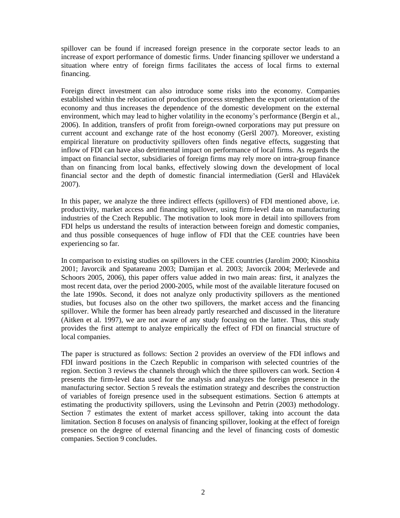spillover can be found if increased foreign presence in the corporate sector leads to an increase of export performance of domestic firms. Under financing spillover we understand a situation where entry of foreign firms facilitates the access of local firms to external financing.

Foreign direct investment can also introduce some risks into the economy. Companies established within the relocation of production process strengthen the export orientation of the economy and thus increases the dependence of the domestic development on the external environment, which may lead to higher volatility in the economy's performance (Bergin et al., 2006). In addition, transfers of profit from foreign-owned corporations may put pressure on current account and exchange rate of the host economy (Geršl 2007). Moreover, existing empirical literature on productivity spillovers often finds negative effects, suggesting that inflow of FDI can have also detrimental impact on performance of local firms. As regards the impact on financial sector, subsidiaries of foreign firms may rely more on intra-group finance than on financing from local banks, effectively slowing down the development of local financial sector and the depth of domestic financial intermediation (Geršl and Hlavá ček 2007).

In this paper, we analyze the three indirect effects (spillovers) of FDI mentioned above, i.e. productivity, market access and financing spillover, using firm-level data on manufacturing industries of the Czech Republic. The motivation to look more in detail into spillovers from FDI helps us understand the results of interaction between foreign and domestic companies, and thus possible consequences of huge inflow of FDI that the CEE countries have been experiencing so far.

In comparison to existing studies on spillovers in the CEE countries (Jarolím 2000; Kinoshita 2001; Javorcik and Spatareanu 2003; Damijan et al. 2003; Javorcik 2004; Merlevede and Schoors 2005, 2006), this paper offers value added in two main areas: first, it analyzes the most recent data, over the period 2000-2005, while most of the available literature focused on the late 1990s. Second, it does not analyze only productivity spillovers as the mentioned studies, but focuses also on the other two spillovers, the market access and the financing spillover. While the former has been already partly researched and discussed in the literature (Aitken et al. 1997), we are not aware of any study focusing on the latter. Thus, this study provides the first attempt to analyze empirically the effect of FDI on financial structure of local companies.

The paper is structured as follows: Section 2 provides an overview of the FDI inflows and FDI inward positions in the Czech Republic in comparison with selected countries of the region. Section 3 reviews the channels through which the three spillovers can work. Section 4 presents the firm-level data used for the analysis and analyzes the foreign presence in the manufacturing sector. Section 5 reveals the estimation strategy and describes the construction of variables of foreign presence used in the subsequent estimations. Section 6 attempts at estimating the productivity spillovers, using the Levinsohn and Petrin (2003) methodology. Section 7 estimates the extent of market access spillover, taking into account the data limitation. Section 8 focuses on analysis of financing spillover, looking at the effect of foreign presence on the degree of external financing and the level of financing costs of domestic companies. Section 9 concludes.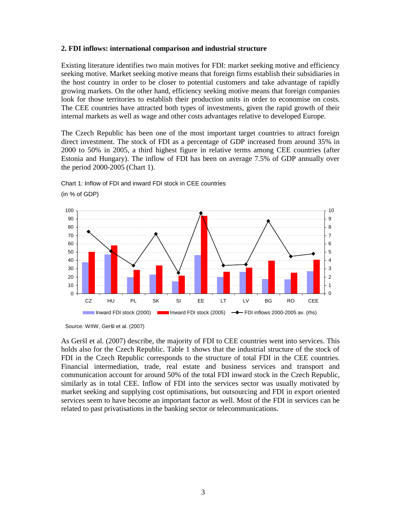#### **2. FDI inflows: international comparison and industrial structure**

Existing literature identifies two main motives for FDI: market seeking motive and efficiency seeking motive. Market seeking motive means that foreign firms establish their subsidiaries in the host country in order to be closer to potential customers and take advantage of rapidly growing markets. On the other hand, efficiency seeking motive means that foreign companies look for those territories to establish their production units in order to economise on costs. The CEE countries have attracted both types of investments, given the rapid growth of their internal markets as well as wage and other costs advantages relative to developed Europe.

The Czech Republic has been one of the most important target countries to attract foreign direct investment. The stock of FDI as a percentage of GDP increased from around 35% in 2000 to 50% in 2005, a third highest figure in relative terms among CEE countries (after Estonia and Hungary). The inflow of FDI has been on average 7.5% of GDP annually over the period 2000-2005 (Chart 1).

Chart 1: Inflow of FDI and inward FDI stock in CEE countries (in % of GDP)



Source: WIIW, Geršl et al. (2007)

As Geršl et al. (2007) describe, the majority of FDI to CEE countries went into services. This holds also for the Czech Republic. Table 1 shows that the industrial structure of the stock of FDI in the Czech Republic corresponds to the structure of total FDI in the CEE countries. Financial intermediation, trade, real estate and business services and transport and communication account for around 50% of the total FDI inward stock in the Czech Republic, similarly as in total CEE. Inflow of FDI into the services sector was usually motivated by market seeking and supplying cost optimisations, but outsourcing and FDI in export oriented services seem to have become an important factor as well. Most of the FDI in services can be related to past privatisations in the banking sector or telecommunications.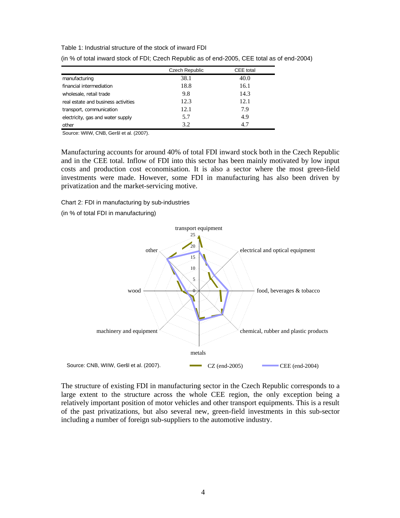Table 1: Industrial structure of the stock of inward FDI

|                                     | Czech Republic | CEE total |
|-------------------------------------|----------------|-----------|
| manufacturing                       | 38.1           | 40.0      |
| financial intermediation            | 18.8           | 16.1      |
| wholesale, retail trade             | 9.8            | 14.3      |
| real estate and business activities | 12.3           | 12.1      |
| transport, communication            | 12.1           | 7.9       |
| electricity, gas and water supply   | 5.7            | 4.9       |
| other                               | 3.2            | 4.7       |

(in % of total inward stock of FDI; Czech Republic as of end-2005, CEE total as of end-2004)

Source: WIIW, CNB, Geršl et al. (2007).

Manufacturing accounts for around 40% of total FDI inward stock both in the Czech Republic and in the CEE total. Inflow of FDI into this sector has been mainly motivated by low input costs and production cost economisation. It is also a sector where the most green-field investments were made. However, some FDI in manufacturing has also been driven by privatization and the market-servicing motive.

Chart 2: FDI in manufacturing by sub-industries

(in % of total FDI in manufacturing)



The structure of existing FDI in manufacturing sector in the Czech Republic corresponds to a large extent to the structure across the whole CEE region, the only exception being a relatively important position of motor vehicles and other transport equipments. This is a result of the past privatizations, but also several new, green-field investments in this sub-sector including a number of foreign sub-suppliers to the automotive industry.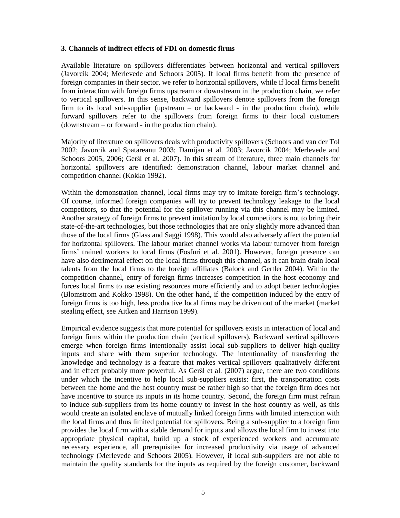#### **3. Channels of indirect effects of FDI on domestic firms**

Available literature on spillovers differentiates between horizontal and vertical spillovers (Javorcik 2004; Merlevede and Schoors 2005). If local firms benefit from the presence of foreign companies in their sector, we refer to horizontal spillovers, while if local firms benefit from interaction with foreign firms upstream or downstream in the production chain, we refer to vertical spillovers. In this sense, backward spillovers denote spillovers from the foreign firm to its local sub-supplier (upstream – or backward - in the production chain), while forward spillovers refer to the spillovers from foreign firms to their local customers (downstream – or forward - in the production chain).

Majority of literature on spillovers deals with productivity spillovers (Schoors and van der Tol 2002; Javorcik and Spatareanu 2003; Damijan et al. 2003; Javorcik 2004; Merlevede and Schoors 2005, 2006; Geršl et al. 2007). In this stream of literature, three main channels for horizontal spillovers are identified: demonstration channel, labour market channel and competition channel (Kokko 1992).

Within the demonstration channel, local firms may try to imitate foreign firm's technology. Of course, informed foreign companies will try to prevent technology leakage to the local competitors, so that the potential for the spillover running via this channel may be limited. Another strategy of foreign firms to prevent imitation by local competitors is not to bring their state-of-the-art technologies, but those technologies that are only slightly more advanced than those of the local firms (Glass and Saggi 1998). This would also adversely affect the potential for horizontal spillovers. The labour market channel works via labour turnover from foreign firms' trained workers to local firms (Fosfuri et al. 2001). However, foreign presence can have also detrimental effect on the local firms through this channel, as it can brain drain local talents from the local firms to the foreign affiliates (Balock and Gertler 2004). Within the competition channel, entry of foreign firms increases competition in the host economy and forces local firms to use existing resources more efficiently and to adopt better technologies (Blomstrom and Kokko 1998). On the other hand, if the competition induced by the entry of foreign firms is too high, less productive local firms may be driven out of the market (market stealing effect, see Aitken and Harrison 1999).

Empirical evidence suggests that more potential for spillovers exists in interaction of local and foreign firms within the production chain (vertical spillovers). Backward vertical spillovers emerge when foreign firms intentionally assist local sub-suppliers to deliver high-quality inputs and share with them superior technology. The intentionality of transferring the knowledge and technology is a feature that makes vertical spillovers qualitatively different and in effect probably more powerful. As Geršl et al. (2007) argue, there are two conditions under which the incentive to help local sub-suppliers exists: first, the transportation costs between the home and the host country must be rather high so that the foreign firm does not have incentive to source its inputs in its home country. Second, the foreign firm must refrain to induce sub-suppliers from its home country to invest in the host country as well, as this would create an isolated enclave of mutually linked foreign firms with limited interaction with the local firms and thus limited potential for spillovers. Being a sub-supplier to a foreign firm provides the local firm with a stable demand for inputs and allows the local firm to invest into appropriate physical capital, build up a stock of experienced workers and accumulate necessary experience, all prerequisites for increased productivity via usage of advanced technology (Merlevede and Schoors 2005). However, if local sub-suppliers are not able to maintain the quality standards for the inputs as required by the foreign customer, backward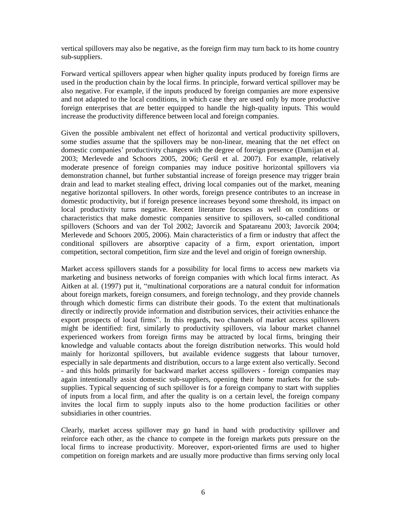vertical spillovers may also be negative, as the foreign firm may turn back to its home country sub-suppliers.

Forward vertical spillovers appear when higher quality inputs produced by foreign firms are used in the production chain by the local firms. In principle, forward vertical spillover may be also negative. For example, if the inputs produced by foreign companies are more expensive and not adapted to the local conditions, in which case they are used only by more productive foreign enterprises that are better equipped to handle the high-quality inputs. This would increase the productivity difference between local and foreign companies.

Given the possible ambivalent net effect of horizontal and vertical productivity spillovers, some studies assume that the spillovers may be non-linear, meaning that the net effect on domestic companies' productivity changes with the degree of foreign presence (Damijan et al. 2003; Merlevede and Schoors 2005, 2006; Geršl et al. 2007). For example, relatively moderate presence of foreign companies may induce positive horizontal spillovers via demonstration channel, but further substantial increase of foreign presence may trigger brain drain and lead to market stealing effect, driving local companies out of the market, meaning negative horizontal spillovers. In other words, foreign presence contributes to an increase in domestic productivity, but if foreign presence increases beyond some threshold, its impact on local productivity turns negative. Recent literature focuses as well on conditions or characteristics that make domestic companies sensitive to spillovers, so-called conditional spillovers (Schoors and van der Tol 2002; Javorcik and Spatareanu 2003; Javorcik 2004; Merlevede and Schoors 2005, 2006). Main characteristics of a firm or industry that affect the conditional spillovers are absorptive capacity of a firm, export orientation, import competition, sectoral competition, firm size and the level and origin of foreign ownership.

Market access spillovers stands for a possibility for local firms to access new markets via marketing and business networks of foreign companies with which local firms interact. As Aitken at al. (1997) put it, "multinational corporations are a natural conduit for information about foreign markets, foreign consumers, and foreign technology, and they provide channels through which domestic firms can distribute their goods. To the extent that multinationals directly or indirectly provide information and distribution services, their activities enhance the export prospects of local firms". In this regards, two channels of market access spillovers might be identified: first, similarly to productivity spillovers, via labour market channel experienced workers from foreign firms may be attracted by local firms, bringing their knowledge and valuable contacts about the foreign distribution networks. This would hold mainly for horizontal spillovers, but available evidence suggests that labour turnover, especially in sale departments and distribution, occurs to a large extent also vertically. Second - and this holds primarily for backward market access spillovers - foreign companies may again intentionally assist domestic sub-suppliers, opening their home markets for the subsupplies. Typical sequencing of such spillover is for a foreign company to start with supplies of inputs from a local firm, and after the quality is on a certain level, the foreign company invites the local firm to supply inputs also to the home production facilities or other subsidiaries in other countries.

Clearly, market access spillover may go hand in hand with productivity spillover and reinforce each other, as the chance to compete in the foreign markets puts pressure on the local firms to increase productivity. Moreover, export-oriented firms are used to higher competition on foreign markets and are usually more productive than firms serving only local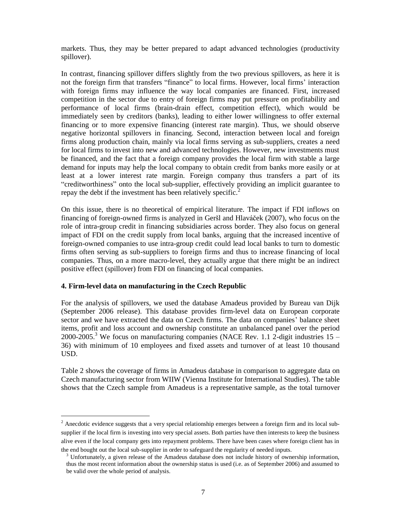markets. Thus, they may be better prepared to adapt advanced technologies (productivity spillover).

In contrast, financing spillover differs slightly from the two previous spillovers, as here it is not the foreign firm that transfers "finance" to local firms. However, local firms' interaction with foreign firms may influence the way local companies are financed. First, increased competition in the sector due to entry of foreign firms may put pressure on profitability and performance of local firms (brain-drain effect, competition effect), which would be immediately seen by creditors (banks), leading to either lower willingness to offer external financing or to more expensive financing (interest rate margin). Thus, we should observe negative horizontal spillovers in financing. Second, interaction between local and foreign firms along production chain, mainly via local firms serving as sub-suppliers, creates a need for local firms to invest into new and advanced technologies. However, new investments must be financed, and the fact that a foreign company provides the local firm with stable a large demand for inputs may help the local company to obtain credit from banks more easily or at least at a lower interest rate margin. Foreign company thus transfers a part of its " creditworthiness" onto the local sub-supplier, effectively providing an implicit guarantee to repay the debt if the investment has been relatively specific.<sup>2</sup>

On this issue, there is no theoretical of empirical literature. The impact if FDI inflows on financing of foreign-owned firms is analyzed in Geršl and Hlavá ček (2007), who focus on the role of intra-group credit in financing subsidiaries across border. They also focus on general impact of FDI on the credit supply from local banks, arguing that the increased incentive of foreign-owned companies to use intra-group credit could lead local banks to turn to domestic firms often serving as sub-suppliers to foreign firms and thus to increase financing of local companies. Thus, on a more macro-level, they actually argue that there might be an indirect positive effect (spillover) from FDI on financing of local companies.

#### **4. Firm-level data on manufacturing in the Czech Republic**

1

For the analysis of spillovers, we used the database Amadeus provided by Bureau van Dijk (September 2006 release). This database provides firm-level data on European corporate sector and we have extracted the data on Czech firms. The data on companies' balance sheet items, profit and loss account and ownership constitute an unbalanced panel over the period 2000-2005.<sup>3</sup> We focus on manufacturing companies (NACE Rev. 1.1 2-digit industries  $15 -$ 36) with minimum of 10 employees and fixed assets and turnover of at least 10 thousand USD.

Table 2 shows the coverage of firms in Amadeus database in comparison to aggregate data on Czech manufacturing sector from WIIW (Vienna Institute for International Studies). The table shows that the Czech sample from Amadeus is a representative sample, as the total turnover

 $2$  Anecdotic evidence suggests that a very special relationship emerges between a foreign firm and its local subsupplier if the local firm is investing into very special assets. Both parties have then interests to keep the business alive even if the local company gets into repayment problems. There have been cases where foreign client has in the end bought out the local sub-supplier in order to safeguard the regularity of needed inputs.

<sup>&</sup>lt;sup>3</sup> Unfortunately, a given release of the Amadeus database does not include history of ownership information, thus the most recent information about the ownership status is used (i.e. as of September 2006) and assumed to be valid over the whole period of analysis.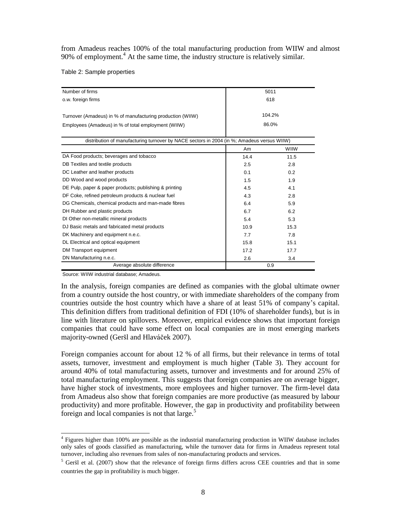from Amadeus reaches 100% of the total manufacturing production from WIIW and almost 90% of employment.<sup>4</sup> At the same time, the industry structure is relatively similar.

Table 2: Sample properties

| Number of firms                                                                            |      | 5011        |
|--------------------------------------------------------------------------------------------|------|-------------|
| o.w. foreign firms                                                                         |      | 618         |
|                                                                                            |      |             |
| Turnover (Amadeus) in % of manufacturing production (WIIW)                                 |      | 104.2%      |
| Employees (Amadeus) in % of total employment (WIIW)                                        |      | 86.0%       |
| distribution of manufacturing turnover by NACE sectors in 2004 (in %; Amadeus versus WIIW) |      |             |
|                                                                                            | Am   | <b>WIIW</b> |
| DA Food products; beverages and tobacco                                                    | 14.4 | 11.5        |
| DB Textiles and textile products                                                           | 2.5  | 2.8         |
| DC Leather and leather products                                                            | 0.1  | 0.2         |
| DD Wood and wood products                                                                  | 1.5  | 1.9         |
| DE Pulp, paper & paper products; publishing & printing                                     | 4.5  | 4.1         |
| DF Coke, refined petroleum products & nuclear fuel                                         | 4.3  | 2.8         |
| DG Chemicals, chemical products and man-made fibres                                        | 6.4  | 5.9         |
| DH Rubber and plastic products                                                             | 6.7  | 6.2         |
| DI Other non-metallic mineral products                                                     | 5.4  | 5.3         |
| DJ Basic metals and fabricated metal products                                              | 10.9 | 15.3        |
| DK Machinery and equipment n.e.c.                                                          | 7.7  | 7.8         |
| DL Electrical and optical equipment                                                        | 15.8 | 15.1        |
| DM Transport equipment                                                                     | 17.2 | 17.7        |
| DN Manufacturing n.e.c.                                                                    | 2.6  | 3.4         |
| Average absolute difference                                                                |      | 0.9         |

Source: WIIW industrial database; Amadeus.

In the analysis, foreign companies are defined as companies with the global ultimate owner from a country outside the host country, or with immediate shareholders of the company from countries outside the host country which have a share of at least 51% of company's capital. This definition differs from traditional definition of FDI (10% of shareholder funds), but is in line with literature on spillovers. Moreover, empirical evidence shows that important foreign companies that could have some effect on local companies are in most emerging markets majority-owned (Geršl and Hlavá ček 2007).

Foreign companies account for about 12 % of all firms, but their relevance in terms of total assets, turnover, investment and employment is much higher (Table 3). They account for around 40% of total manufacturing assets, turnover and investments and for around 25% of total manufacturing employment. This suggests that foreign companies are on average bigger, have higher stock of investments, more employees and higher turnover. The firm-level data from Amadeus also show that foreign companies are more productive (as measured by labour productivity) and more profitable. However, the gap in productivity and profitability between foreign and local companies is not that large.<sup>5</sup>

 4 Figures higher than 100% are possible as the industrial manufacturing production in WIIW database includes only sales of goods classified as manufacturing, while the turnover data for firms in Amadeus represent total turnover, including also revenues from sales of non-manufacturing products and services.

 $<sup>5</sup>$  Geršl et al. (2007) show that the relevance of foreign firms differs across CEE countries and that in some</sup> countries the gap in profitability is much bigger.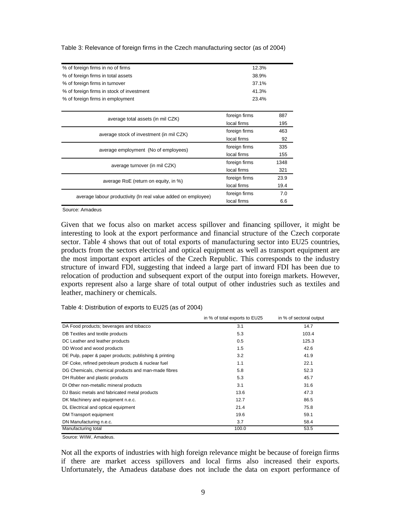| % of foreign firms in no of firms                             | 12.3%         |      |
|---------------------------------------------------------------|---------------|------|
| % of foreign firms in total assets                            | 38.9%         |      |
| % of foreign firms in turnover                                | 37.1%         |      |
| % of foreign firms in stock of investment                     | 41.3%         |      |
| % of foreign firms in employment                              | 23.4%         |      |
|                                                               |               |      |
| average total assets (in mil CZK)                             | foreign firms | 887  |
|                                                               | local firms   | 195  |
| average stock of investment (in mil CZK)                      | foreign firms | 463  |
|                                                               | local firms   | 92   |
| average employment (No of employees)                          | foreign firms | 335  |
|                                                               | local firms   | 155  |
| average turnover (in mil CZK)                                 | foreign firms | 1348 |
|                                                               | local firms   | 321  |
| average RoE (return on equity, in %)                          | foreign firms | 23.9 |
|                                                               | local firms   | 19.4 |
| average labour productivity (In real value added on employee) | foreign firms | 7.0  |
|                                                               | local firms   | 6.6  |
|                                                               |               |      |

Table 3: Relevance of foreign firms in the Czech manufacturing sector (as of 2004)

Source: Amadeus

Given that we focus also on market access spillover and financing spillover, it might be interesting to look at the export performance and financial structure of the Czech corporate sector. Table 4 shows that out of total exports of manufacturing sector into EU25 countries, products from the sectors electrical and optical equipment as well as transport equipment are the most important export articles of the Czech Republic. This corresponds to the industry structure of inward FDI, suggesting that indeed a large part of inward FDI has been due to relocation of production and subsequent export of the output into foreign markets. However, exports represent also a large share of total output of other industries such as textiles and leather, machinery or chemicals.

Table 4: Distribution of exports to EU25 (as of 2004)

|                                                        | in % of total exports to EU25 | in % of sectoral output |
|--------------------------------------------------------|-------------------------------|-------------------------|
| DA Food products; beverages and tobacco                | 3.1                           | 14.7                    |
| DB Textiles and textile products                       | 5.3                           | 103.4                   |
| DC Leather and leather products                        | 0.5                           | 125.3                   |
| DD Wood and wood products                              | 1.5                           | 42.6                    |
| DE Pulp, paper & paper products; publishing & printing | 3.2                           | 41.9                    |
| DF Coke, refined petroleum products & nuclear fuel     | 1.1                           | 22.1                    |
| DG Chemicals, chemical products and man-made fibres    | 5.8                           | 52.3                    |
| DH Rubber and plastic products                         | 5.3                           | 45.7                    |
| DI Other non-metallic mineral products                 | 3.1                           | 31.6                    |
| DJ Basic metals and fabricated metal products          | 13.6                          | 47.3                    |
| DK Machinery and equipment n.e.c.                      | 12.7                          | 86.5                    |
| DL Electrical and optical equipment                    | 21.4                          | 75.8                    |
| DM Transport equipment                                 | 19.6                          | 59.1                    |
| DN Manufacturing n.e.c.                                | 3.7                           | 58.4                    |
| Manufacturing total                                    | 100.0                         | 53.5                    |

Source: WIIW, Amadeus.

Not all the exports of industries with high foreign relevance might be because of foreign firms if there are market access spillovers and local firms also increased their exports. Unfortunately, the Amadeus database does not include the data on export performance of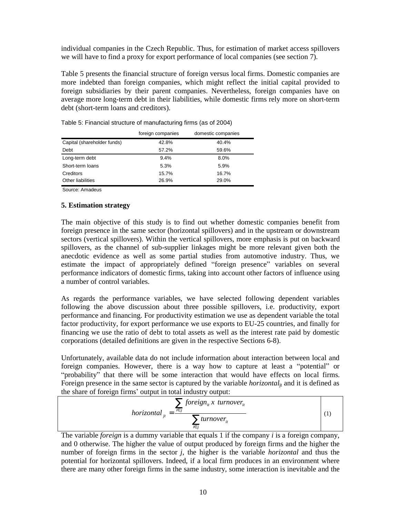individual companies in the Czech Republic. Thus, for estimation of market access spillovers we will have to find a proxy for export performance of local companies (see section 7).

Table 5 presents the financial structure of foreign versus local firms. Domestic companies are more indebted than foreign companies, which might reflect the initial capital provided to foreign subsidiaries by their parent companies. Nevertheless, foreign companies have on average more long-term debt in their liabilities, while domestic firms rely more on short-term debt (short-term loans and creditors).

|                             | foreign companies | domestic companies |
|-----------------------------|-------------------|--------------------|
| Capital (shareholder funds) | 42.8%             | 40.4%              |
| Debt                        | 57.2%             | 59.6%              |
| Long-term debt              | 9.4%              | 8.0%               |
| Short-term loans            | 5.3%              | 5.9%               |
| Creditors                   | 15.7%             | 16.7%              |
| Other liabilities           | 26.9%             | 29.0%              |

Table 5: Financial structure of manufacturing firms (as of 2004)

Source: Amadeus

#### **5. Estimation strategy**

The main objective of this study is to find out whether domestic companies benefit from foreign presence in the same sector (horizontal spillovers) and in the upstream or downstream sectors (vertical spillovers). Within the vertical spillovers, more emphasis is put on backward spillovers, as the channel of sub-supplier linkages might be more relevant given both the anecdotic evidence as well as some partial studies from automotive industry. Thus, we estimate the impact of appropriately defined "foreign presence" variables on several performance indicators of domestic firms, taking into account other factors of influence using a number of control variables.

As regards the performance variables, we have selected following dependent variables following the above discussion about three possible spillovers, i.e. productivity, export performance and financing. For productivity estimation we use as dependent variable the total factor productivity, for export performance we use exports to EU-25 countries, and finally for financing we use the ratio of debt to total assets as well as the interest rate paid by domestic corporations (detailed definitions are given in the respective Sections 6-8).

Unfortunately, available data do not include information about interaction between local and foreign companies. However, there is a way how to capture at least a "potential" or "probability" that there will be some interaction that would have effects on local firms. Foreign presence in the same sector is captured by the variable *horizontal*<sub>it</sub> and it is defined as the share of foreign firms' output in total industry output:

$$
horizontal_{jt} = \frac{\sum_{i \in j} foreign_{it} x \ turnover_{it}}{\sum_{i \in j} turnover_{it}}
$$
 (1)

The variable *foreign* is a dummy variable that equals 1 if the company *i* is a foreign company, and 0 otherwise. The higher the value of output produced by foreign firms and the higher the number of foreign firms in the sector *j*, the higher is the variable *horizontal* and thus the potential for horizontal spillovers. Indeed, if a local firm produces in an environment where there are many other foreign firms in the same industry, some interaction is inevitable and the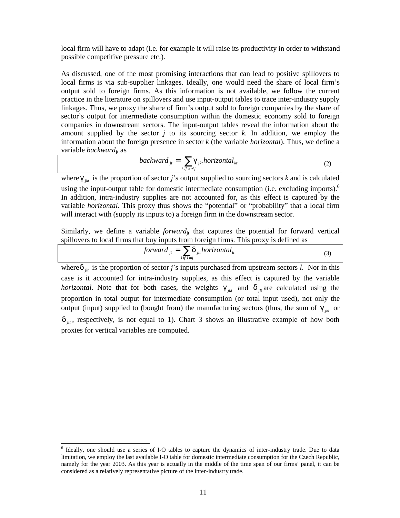local firm will have to adapt (i.e. for example it will raise its productivity in order to withstand possible competitive pressure etc.).

As discussed, one of the most promising interactions that can lead to positive spillovers to local firms is via sub-supplier linkages. Ideally, one would need the share of local firm's output sold to foreign firms. As this information is not available, we follow the current practice in the literature on spillovers and use input-output tables to trace inter-industry supply linkages. Thus, we proxy the share of firm's output sold to foreign companies by the share of sector's output for intermediate consumption within the domestic economy sold to foreign companies in downstream sectors. The input-output tables reveal the information about the amount supplied by the sector  $j$  to its sourcing sector  $k$ . In addition, we employ the information about the foreign presence in sector *k* (the variable *horizontal*). Thus, we define a variable *backward*jt as

$$
backward_{jt} = \sum_{k \in k \neq j} g_{jkt} \text{horizontal}_{kt} \tag{2}
$$

where  $g_{ik}$  is the proportion of sector *j*'s output supplied to sourcing sectors *k* and is calculated using the input-output table for domestic intermediate consumption (i.e. excluding imports).<sup>6</sup> In addition, intra-industry supplies are not accounted for, as this effect is captured by the variable *horizontal*. This proxy thus shows the "potential" or "probability" that a local firm will interact with (supply its inputs to) a foreign firm in the downstream sector.

Similarly, we define a variable *forward*<sub>it</sub> that captures the potential for forward vertical spillovers to local firms that buy inputs from foreign firms. This proxy is defined as

$$
forward_{ji} = \sum_{l \in I \neq j} d_{jli} horizontal_{li}
$$
 (3)

where  $d_{jk}$  is the proportion of sector *j*'s inputs purchased from upstream sectors *l*. Nor in this case is it accounted for intra-industry supplies, as this effect is captured by the variable *horizontal*. Note that for both cases, the weights  $g_{ik}$  and  $d_{ik}$  are calculated using the proportion in total output for intermediate consumption (or total input used), not only the output (input) supplied to (bought from) the manufacturing sectors (thus, the sum of  $g_{jkt}$  or  $d_{ik}$ , respectively, is not equal to 1). Chart 3 shows an illustrative example of how both proxies for vertical variables are computed.

1

<sup>&</sup>lt;sup>6</sup> Ideally, one should use a series of I-O tables to capture the dynamics of inter-industry trade. Due to data limitation, we employ the last available I-O table for domestic intermediate consumption for the Czech Republic, namely for the year 2003. As this year is actually in the middle of the time span of our firms' panel, it can be considered as a relatively representative picture of the inter-industry trade.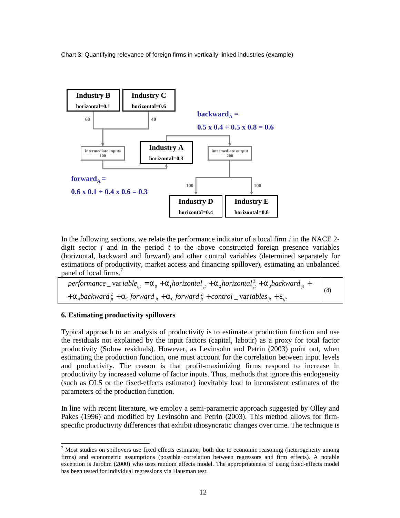Chart 3: Quantifying relevance of foreign firms in vertically-linked industries (example)



In the following sections, we relate the performance indicator of a local firm *i* in the NACE 2 digit sector *j* and in the period *t* to the above constructed foreign presence variables (horizontal, backward and forward) and other control variables (determined separately for estimations of productivity, market access and financing spillover), estimating an unbalanced panel of local firms.<sup>7</sup>

| performance _variable <sub>ijt</sub> = $a_0 + a_1$ horizontal <sub>jt</sub> + $a_2$ horizontal $a_{jk}^2 + a_3$ backward <sub>jt</sub> + | (4) |
|------------------------------------------------------------------------------------------------------------------------------------------|-----|
| $+ a_4$ backward $^2_{ii} + a_5$ forward $^1_{ii} + a_6$ forward $^2_{ii} +$ control $\_\$ variables $_{ii} + e_{ii}$                    |     |

#### **6. Estimating productivity spillovers**

1

Typical approach to an analysis of productivity is to estimate a production function and use the residuals not explained by the input factors (capital, labour) as a proxy for total factor productivity (Solow residuals). However, as Levinsohn and Petrin (2003) point out, when estimating the production function, one must account for the correlation between input levels and productivity. The reason is that profit-maximizing firms respond to increase in productivity by increased volume of factor inputs. Thus, methods that ignore this endogeneity (such as OLS or the fixed-effects estimator) inevitably lead to inconsistent estimates of the parameters of the production function.

In line with recent literature, we employ a semi-parametric approach suggested by Olley and Pakes (1996) and modified by Levinsohn and Petrin (2003). This method allows for firmspecific productivity differences that exhibit idiosyncratic changes over time. The technique is

 $<sup>7</sup>$  Most studies on spillovers use fixed effects estimator, both due to economic reasoning (heterogeneity among</sup> firms) and econometric assumptions (possible correlation between regressors and firm effects). A notable exception is Jarolím (2000) who uses random effects model. The appropriateness of using fixed-effects model has been tested for individual regressions via Hausman test.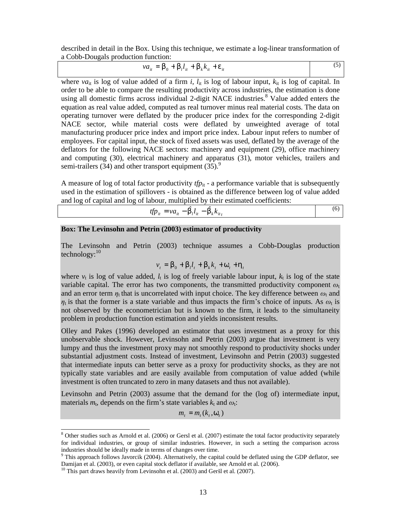described in detail in the Box. Using this technique, we estimate a log-linear transformation of a Cobb-Dougals production function:

$$
va_{it} = b_0 + b_l l_{it} + b_k k_{it} + e_{it}
$$
\n<sup>(5)</sup>

where  $va_{it}$  is log of value added of a firm *i*,  $l_{it}$  is log of labour input,  $k_{it}$  is log of capital. In order to be able to compare the resulting productivity across industries, the estimation is done using all domestic firms across individual 2-digit NACE industries.<sup>8</sup> Value added enters the equation as real value added, computed as real turnover minus real material costs. The data on operating turnover were deflated by the producer price index for the corresponding 2-digit NACE sector, while material costs were deflated by unweighted average of total manufacturing producer price index and import price index. Labour input refers to number of employees. For capital input, the stock of fixed assets was used, deflated by the average of the deflators for the following NACE sectors: machinery and equipment (29), office machinery and computing (30), electrical machinery and apparatus (31), motor vehicles, trailers and semi-trailers (34) and other transport equipment (35). $9$ 

A measure of log of total factor productivity  $tp_{it}$  - a performance variable that is subsequently used in the estimation of spillovers - is obtained as the difference between log of value added and log of capital and log of labour, multiplied by their estimated coefficients:

$$
tfp_{it} = va_{it} - \hat{b}_t l_{it} - \hat{b}_k k_{it}
$$
\n<sup>(6)</sup>

#### **Box: The Levinsohn and Petrin (2003) estimator of productivity**

The Levinsohn and Petrin (2003) technique assumes a Cobb-Douglas production technology:<sup>10</sup>

$$
v_t = b_0 + b_l l_t + b_k k_t + w_t + h_t
$$

where  $v_t$  is log of value added,  $l_t$  is log of freely variable labour input,  $k_t$  is log of the state variable capital. The error has two components, the transmitted productivity component  $\omega_t$ and an error term  $\eta_t$  that is uncorrelated with input choice. The key difference between  $\omega_t$  and  $\eta_t$  is that the former is a state variable and thus impacts the firm's choice of inputs. As  $\omega_t$  is not observed by the econometrician but is known to the firm, it leads to the simultaneity problem in production function estimation and yields inconsistent results.

Olley and Pakes (1996) developed an estimator that uses investment as a proxy for this unobservable shock. However, Levinsohn and Petrin (2003) argue that investment is very lumpy and thus the investment proxy may not smoothly respond to productivity shocks under substantial adjustment costs. Instead of investment, Levinsohn and Petrin (2003) suggested that intermediate inputs can better serve as a proxy for productivity shocks, as they are not typically state variables and are easily available from computation of value added (while investment is often truncated to zero in many datasets and thus not available).

Levinsohn and Petrin (2003) assume that the demand for the (log of) intermediate input, materials  $m_t$ , depends on the firm's state variables  $k_t$  and  $\omega_t$ :

$$
m_t = m_t(k_t, w_t)
$$

<u>.</u>

 $8$  Other studies such as Arnold et al. (2006) or Gersl et al. (2007) estimate the total factor productivity separately for individual industries, or group of similar industries. However, in such a setting the comparison across industries should be ideally made in terms of changes over time.

 $9$  This approach follows Javorcik (2004). Alternatively, the capital could be deflated using the GDP deflator, see Damijan et al. (2003), or even capital stock deflator if available, see Arnold et al. (2006).

 $10$  This part draws heavily from Levinsohn et al. (2003) and Geršl et al. (2007).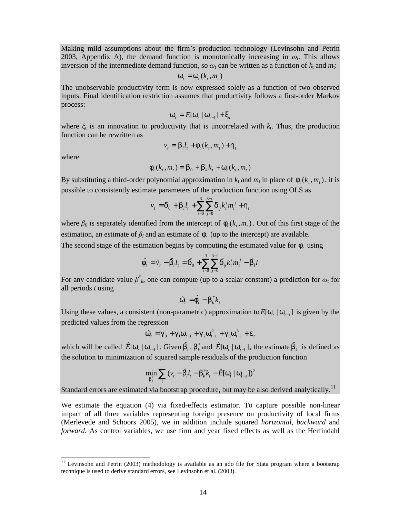Making mild assumptions about the firm's production technology (Levinsohn and Petrin 2003, Appendix A), the demand function is monotonically increasing in  $\omega_t$ . This allows inversion of the intermediate demand function, so  $\omega_t$  can be written as a function of  $k_t$  and  $m_t$ :

$$
\boldsymbol{W}_{t} = \boldsymbol{W}_{t}(\boldsymbol{k}_{t}, \boldsymbol{m}_{t})
$$

The unobservable productivity term is now expressed solely as a function of two observed inputs. Final identification restriction assumes that productivity follows a first-order Markov process:

$$
\boldsymbol{W}_t = E[\boldsymbol{W}_t \mid \boldsymbol{W}_{t-1}] + \boldsymbol{X}_t
$$

where  $\xi_t$  is an innovation to productivity that is uncorrelated with  $k_t$ . Thus, the production function can be rewritten as

$$
v_t = b_l l_t + f_t(k_t, m_t) + h_t
$$

where

<u>.</u>

$$
f_{i}(k_{t},m_{t}) = b_{0} + b_{k}k_{t} + w_{i}(k_{t},m_{t})
$$

By substituting a third-order polynomial approximation in  $k_t$  and  $m_t$  in place of  $f_t(k_t, m_t)$ , it is possible to consistently estimate parameters of the production function using OLS as

$$
v_{t} = \boldsymbol{d}_{0} + \boldsymbol{b}_{t} \boldsymbol{l}_{t} + \sum_{i=0}^{3} \sum_{j=0}^{3-i} \boldsymbol{d}_{ij} \boldsymbol{k}_{t}^{i} \boldsymbol{m}_{t}^{j} + \boldsymbol{h}_{t}
$$

where  $\beta_0$  is separately identified from the intercept of  $f_t(k_t, m_t)$ . Out of this first stage of the estimation, an estimate of  $\beta_l$  and an estimate of  $f_t$  (up to the intercept) are available.

The second stage of the estimation begins by computing the estimated value for  $f_t$  using

$$
\hat{F}_t = \hat{v}_t - \hat{b}_t I_t = \hat{d}_0 + \sum_{i=0}^3 \sum_{j=0}^{3-i} \hat{d}_{ij} k_t^i m_t^j - \hat{b}_t I
$$

For any candidate value  $\beta^*_{k}$ , one can compute (up to a scalar constant) a prediction for  $\omega_t$  for all periods *t* using

$$
\hat{w}_t = \hat{F}_t - b_k^* k_t
$$

Using these values, a consistent (non-parametric) approximation to  $E[w_t | w_{t-1}]$  is given by the predicted values from the regression

$$
\hat{W}_t = g_0 + g_1 W_{t-1} + g_2 W_{t-1}^2 + g_3 W_{t-1}^3 + e_t
$$

which will be called  $\hat{E}[w_t | w_{t-1}]$ . Given  $\hat{b}_t$ ,  $b_k^*$  and  $\hat{E}[w_t | w_{t-1}]$ , the estimate  $\hat{b}_k$  is defined as the solution to minimization of squared sample residuals of the production function

$$
\min_{b_k^*} \sum_{t} (v_t - \hat{b}_t l_t - b_k^* k_t - \hat{E}[w_t | w_{t-1}])^2
$$

Standard errors are estimated via bootstrap procedure, but may be also derived analytically.<sup>11</sup>

We estimate the equation (4) via fixed-effects estimator. To capture possible non-linear impact of all three variables representing foreign presence on productivity of local firms (Merlevede and Schoors 2005), we in addition include squared *horizontal*, *backward* and *forward*. As control variables, we use firm and year fixed effects as well as the Herfindahl

<sup>&</sup>lt;sup>11</sup> Levinsohn and Petrin (2003) methodology is available as an ado file for Stata program where a bootstrap technique is used to derive standard errors, see Levinsohn et al. (2003).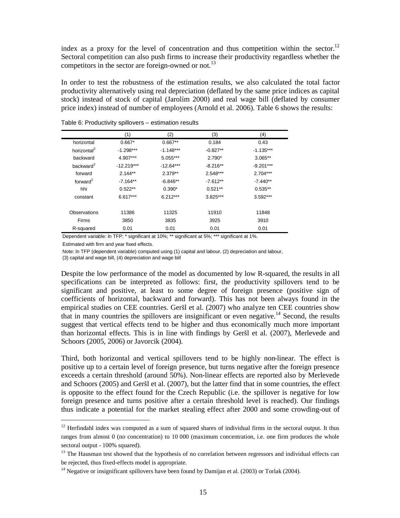index as a proxy for the level of concentration and thus competition within the sector.<sup>12</sup> Sectoral competition can also push firms to increase their productivity regardless whether the competitors in the sector are foreign-owned or not.<sup>13</sup>

In order to test the robustness of the estimation results, we also calculated the total factor productivity alternatively using real depreciation (deflated by the same price indices as capital stock) instead of stock of capital (Jarolím 2000) and real wage bill (deflated by consumer price index) instead of number of employees (Arnold et al. 2006). Table 6 shows the results:

|                         | (1)          | (2)         | (3)        | (4)         |
|-------------------------|--------------|-------------|------------|-------------|
| horizontal              | $0.667*$     | $0.667**$   | 0.184      | 0.43        |
| horizontal <sup>2</sup> | $-1.298***$  | $-1.148***$ | $-0.827**$ | $-1.135***$ |
| backward                | 4.907***     | 5.055***    | $2.790*$   | $3.065**$   |
| backward <sup>2</sup>   | $-12.219***$ | $-12.64***$ | $-8.216**$ | $-9.201***$ |
| forward                 | $2.144**$    | $2.379**$   | $2.548***$ | $2.704***$  |
| forward $^2$            | $-7.164**$   | $-6.846**$  | $-7.612**$ | $-7.440**$  |
| hhi                     | $0.522**$    | $0.390*$    | $0.521**$  | $0.535**$   |
| constant                | $6.617***$   | $6.212***$  | 3.825***   | $3.592***$  |
| Observations            | 11386        | 11325       | 11910      | 11848       |
| <b>Firms</b>            | 3850         | 3835        | 3925       | 3910        |
| R-squared               | 0.01         | 0.01        | 0.01       | 0.01        |

Table 6: Productivity spillovers – estimation results

Dependent variable: ln TFP; \* significant at 10%; \*\* significant at 5%; \*\*\* significant at 1%.

Estimated with firm and year fixed effects.

1

Note: ln TFP (dependent variable) computed using (1) capital and labour, (2) depreciation and labour,

(3) capital and wage bill, (4) depreciation and wage bill

Despite the low performance of the model as documented by low R-squared, the results in all specifications can be interpreted as follows: first, the productivity spillovers tend to be significant and positive, at least to some degree of foreign presence (positive sign of coefficients of horizontal, backward and forward). This has not been always found in the empirical studies on CEE countries. Geršl et al. (2007) who analyze ten CEE countries show that in many countries the spillovers are insignificant or even negative.<sup>14</sup> Second, the results suggest that vertical effects tend to be higher and thus economically much more important than horizontal effects. This is in line with findings by Geršl et al. (2007), Merlevede and Schoors (2005, 2006) or Javorcik (2004).

Third, both horizontal and vertical spillovers tend to be highly non-linear. The effect is positive up to a certain level of foreign presence, but turns negative after the foreign presence exceeds a certain threshold (around 50%). Non-linear effects are reported also by Merlevede and Schoors (2005) and Geršl et al. (2007), but the latter find that in some countries, the effect is opposite to the effect found for the Czech Republic (i.e. the spillover is negative for low foreign presence and turns positive after a certain threshold level is reached). Our findings thus indicate a potential for the market stealing effect after 2000 and some crowding-out of

 $12$  Herfindahl index was computed as a sum of squared shares of individual firms in the sectoral output. It thus ranges from almost 0 (no concentration) to 10 000 (maximum concentration, i.e. one firm produces the whole sectoral output - 100% squared).

 $13$  The Hausman test showed that the hypothesis of no correlation between regressors and individual effects can be rejected, thus fixed-effects model is appropriate.

 $14$  Negative or insignificant spillovers have been found by Damijan et al. (2003) or Torlak (2004).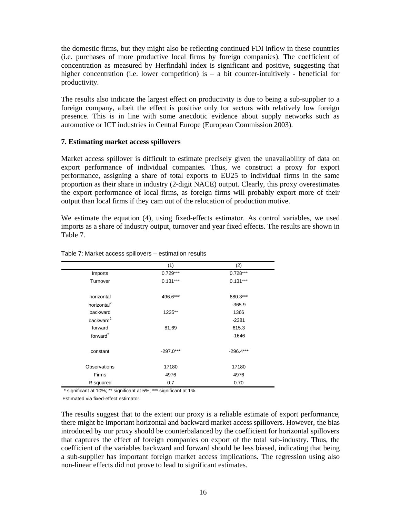the domestic firms, but they might also be reflecting continued FDI inflow in these countries (i.e. purchases of more productive local firms by foreign companies). The coefficient of concentration as measured by Herfindahl index is significant and positive, suggesting that higher concentration (i.e. lower competition) is  $-$  a bit counter-intuitively - beneficial for productivity.

The results also indicate the largest effect on productivity is due to being a sub-supplier to a foreign company, albeit the effect is positive only for sectors with relatively low foreign presence. This is in line with some anecdotic evidence about supply networks such as automotive or ICT industries in Central Europe (European Commission 2003).

#### **7. Estimating market access spillovers**

Market access spillover is difficult to estimate precisely given the unavailability of data on export performance of individual companies. Thus, we construct a proxy for export performance, assigning a share of total exports to EU25 to individual firms in the same proportion as their share in industry (2-digit NACE) output. Clearly, this proxy overestimates the export performance of local firms, as foreign firms will probably export more of their output than local firms if they cam out of the relocation of production motive.

We estimate the equation (4), using fixed-effects estimator. As control variables, we used imports as a share of industry output, turnover and year fixed effects. The results are shown in Table 7.

|                         | (1)         | (2)         |
|-------------------------|-------------|-------------|
| Imports                 | $0.729***$  | $0.728***$  |
| Turnover                | $0.131***$  | $0.131***$  |
| horizontal              | 496.6***    | 680.3***    |
| horizontal <sup>2</sup> |             | $-365.9$    |
| backward                | 1235**      | 1366        |
| backward $^2$           |             | $-2381$     |
| forward                 | 81.69       | 615.3       |
| forward $^2$            |             | $-1646$     |
| constant                | $-297.0***$ | $-296.4***$ |
| Observations            | 17180       | 17180       |
| Firms                   | 4976        | 4976        |
| R-squared               | 0.7         | 0.70        |

#### Table 7: Market access spillovers – estimation results

\* significant at 10%; \*\* significant at 5%; \*\*\* significant at 1%.

Estimated via fixed-effect estimator.

The results suggest that to the extent our proxy is a reliable estimate of export performance, there might be important horizontal and backward market access spillovers. However, the bias introduced by our proxy should be counterbalanced by the coefficient for horizontal spillovers that captures the effect of foreign companies on export of the total sub-industry. Thus, the coefficient of the variables backward and forward should be less biased, indicating that being a sub-supplier has important foreign market access implications. The regression using also non-linear effects did not prove to lead to significant estimates.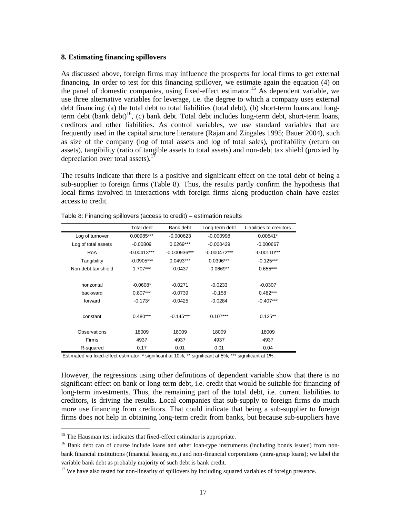#### **8. Estimating financing spillovers**

As discussed above, foreign firms may influence the prospects for local firms to get external financing. In order to test for this financing spillover, we estimate again the equation (4) on the panel of domestic companies, using fixed-effect estimator.<sup>15</sup> As dependent variable, we use three alternative variables for leverage, i.e. the degree to which a company uses external debt financing: (a) the total debt to total liabilities (total debt), (b) short-term loans and longterm debt (bank debt)<sup>16</sup>, (c) bank debt. Total debt includes long-term debt, short-term loans, creditors and other liabilities. As control variables, we use standard variables that are frequently used in the capital structure literature (Rajan and Zingales 1995; Bauer 2004), such as size of the company (log of total assets and log of total sales), profitability (return on assets), tangibility (ratio of tangible assets to total assets) and non-debt tax shield (proxied by depreciation over total assets).<sup>17</sup>

The results indicate that there is a positive and significant effect on the total debt of being a sub-supplier to foreign firms (Table 8). Thus, the results partly confirm the hypothesis that local firms involved in interactions with foreign firms along production chain have easier access to credit.

|                     | <b>Total debt</b> | Bank debt      | Long-term debt | Liabilities to creditors |
|---------------------|-------------------|----------------|----------------|--------------------------|
| Log of turnover     | 0.00985***        | $-0.000623$    | $-0.000998$    | $0.00541*$               |
| Log of total assets | $-0.00809$        | $0.0269***$    | $-0.000429$    | $-0.000667$              |
| RoA                 | $-0.00413***$     | $-0.000936***$ | $-0.000472***$ | $-0.00110***$            |
| Tangibility         | $-0.0905***$      | $0.0493***$    | $0.0396***$    | $-0.125***$              |
| Non-debt tax shield | $1.707***$        | $-0.0437$      | $-0.0669**$    | $0.655***$               |
|                     |                   |                |                |                          |
| horizontal          | $-0.0608*$        | $-0.0271$      | $-0.0233$      | $-0.0307$                |
| backward            | $0.807***$        | $-0.0739$      | $-0.158$       | $0.482***$               |
| forward             | $-0.173*$         | $-0.0425$      | $-0.0284$      | $-0.407***$              |
|                     |                   |                |                |                          |
| constant            | $0.480***$        | $-0.145***$    | $0.107***$     | $0.125**$                |
|                     |                   |                |                |                          |
| <b>Observations</b> | 18009             | 18009          | 18009          | 18009                    |
| <b>Firms</b>        | 4937              | 4937           | 4937           | 4937                     |
| R-squared           | 0.17              | 0.01           | 0.01           | 0.04                     |

| Table 8: Financing spillovers (access to credit) – estimation results |
|-----------------------------------------------------------------------|
|                                                                       |

Estimated via fixed-effect estimator. \* significant at 10%; \*\* significant at 5%; \*\*\* significant at 1%.

However, the regressions using other definitions of dependent variable show that there is no significant effect on bank or long-term debt, i.e. credit that would be suitable for financing of long-term investments. Thus, the remaining part of the total debt, i.e. current liabilities to creditors, is driving the results. Local companies that sub-supply to foreign firms do much more use financing from creditors. That could indicate that being a sub-supplier to foreign firms does not help in obtaining long-term credit from banks, but because sub-suppliers have

1

 $15$  The Hausman test indicates that fixed-effect estimator is appropriate.

<sup>&</sup>lt;sup>16</sup> Bank debt can of course include loans and other loan-type instruments (including bonds issued) from nonbank financial institutions (financial leasing etc.) and non-financial corporations (intra-group loans); we label the variable bank debt as probably majority of such debt is bank credit.

 $17$  We have also tested for non-linearity of spillovers by including squared variables of foreign presence.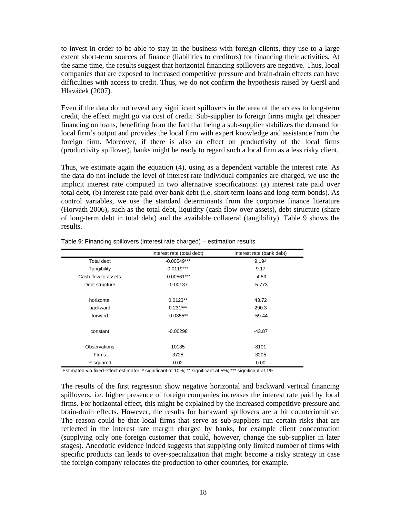to invest in order to be able to stay in the business with foreign clients, they use to a large extent short-term sources of finance (liabilities to creditors) for financing their activities. At the same time, the results suggest that horizontal financing spillovers are negative. Thus, local companies that are exposed to increased competitive pressure and brain-drain effects can have difficulties with access to credit. Thus, we do not confirm the hypothesis raised by Geršl and Hlaváček (2007).

Even if the data do not reveal any significant spillovers in the area of the access to long-term credit, the effect might go via cost of credit. Sub-supplier to foreign firms might get cheaper financing on loans, benefiting from the fact that being a sub-supplier stabilizes the demand for local firm's output and provides the local firm with expert knowledge and assistance from the foreign firm. Moreover, if there is also an effect on productivity of the local firms (productivity spillover), banks might be ready to regard such a local firm as a less risky client.

Thus, we estimate again the equation (4), using as a dependent variable the interest rate. As the data do not include the level of interest rate individual companies are charged, we use the implicit interest rate computed in two alternative specifications: (a) interest rate paid over total debt, (b) interest rate paid over bank debt (i.e. short-term loans and long-term bonds). As control variables, we use the standard determinants from the corporate finance literature (Horvá th 2006), such as the total debt, liquidity (cash flow over assets), debt structure (share of long-term debt in total debt) and the available collateral (tangibility). Table 9 shows the results.

| Interest rate (total debt) | Interest rate (bank debt)                                                                                                                                                                                                                             |
|----------------------------|-------------------------------------------------------------------------------------------------------------------------------------------------------------------------------------------------------------------------------------------------------|
| $-0.00549***$              | 9.194                                                                                                                                                                                                                                                 |
| $0.0119***$                | 9.17                                                                                                                                                                                                                                                  |
| $-0.00561***$              | $-4.59$                                                                                                                                                                                                                                               |
| $-0.00137$                 | $-5.773$                                                                                                                                                                                                                                              |
| $0.0123**$                 | 43.72                                                                                                                                                                                                                                                 |
| $0.231***$                 | 290.3                                                                                                                                                                                                                                                 |
| $-0.0355**$                | $-59.44$                                                                                                                                                                                                                                              |
| $-0.00298$                 | $-43.87$                                                                                                                                                                                                                                              |
| 10135                      | 8101                                                                                                                                                                                                                                                  |
| 3725                       | 3205                                                                                                                                                                                                                                                  |
| 0.02                       | 0.00                                                                                                                                                                                                                                                  |
|                            | $\cdot$<br>$\cdots$<br>$\mathbf{r}$ and $\mathbf{r}$ and $\mathbf{r}$ and $\mathbf{r}$ and $\mathbf{r}$ and $\mathbf{r}$ and $\mathbf{r}$ and $\mathbf{r}$<br>$\mathbf{a}$ , $\mathbf{a}$ , $\mathbf{a}$ , $\mathbf{a}$ , $\mathbf{a}$ , $\mathbf{a}$ |

Table 9: Financing spillovers (interest rate charged) – estimation results

Estimated via fixed-effect estimator. \* significant at 10%; \*\* significant at 5%; \*\*\* significant at 1%.

The results of the first regression show negative horizontal and backward vertical financing spillovers, i.e. higher presence of foreign companies increases the interest rate paid by local firms. For horizontal effect, this might be explained by the increased competitive pressure and brain-drain effects. However, the results for backward spillovers are a bit counterintuitive. The reason could be that local firms that serve as sub-suppliers run certain risks that are reflected in the interest rate margin charged by banks, for example client concentration (supplying only one foreign customer that could, however, change the sub-supplier in later stages). Anecdotic evidence indeed suggests that supplying only limited number of firms with specific products can leads to over-specialization that might become a risky strategy in case the foreign company relocates the production to other countries, for example.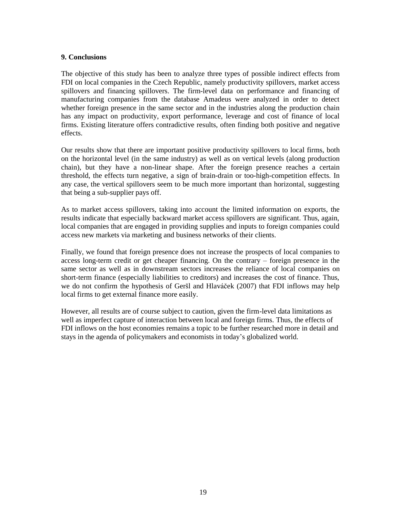#### **9. Conclusions**

The objective of this study has been to analyze three types of possible indirect effects from FDI on local companies in the Czech Republic, namely productivity spillovers, market access spillovers and financing spillovers. The firm-level data on performance and financing of manufacturing companies from the database Amadeus were analyzed in order to detect whether foreign presence in the same sector and in the industries along the production chain has any impact on productivity, export performance, leverage and cost of finance of local firms. Existing literature offers contradictive results, often finding both positive and negative effects.

Our results show that there are important positive productivity spillovers to local firms, both on the horizontal level (in the same industry) as well as on vertical levels (along production chain), but they have a non-linear shape. After the foreign presence reaches a certain threshold, the effects turn negative, a sign of brain-drain or too-high-competition effects. In any case, the vertical spillovers seem to be much more important than horizontal, suggesting that being a sub-supplier pays off.

As to market access spillovers, taking into account the limited information on exports, the results indicate that especially backward market access spillovers are significant. Thus, again, local companies that are engaged in providing supplies and inputs to foreign companies could access new markets via marketing and business networks of their clients.

Finally, we found that foreign presence does not increase the prospects of local companies to access long-term credit or get cheaper financing. On the contrary – foreign presence in the same sector as well as in downstream sectors increases the reliance of local companies on short-term finance (especially liabilities to creditors) and increases the cost of finance. Thus, we do not confirm the hypothesis of Geršl and Hlaváček (2007) that FDI inflows may help local firms to get external finance more easily.

However, all results are of course subject to caution, given the firm-level data limitations as well as imperfect capture of interaction between local and foreign firms. Thus, the effects of FDI inflows on the host economies remains a topic to be further researched more in detail and stays in the agenda of policymakers and economists in today's globalized world.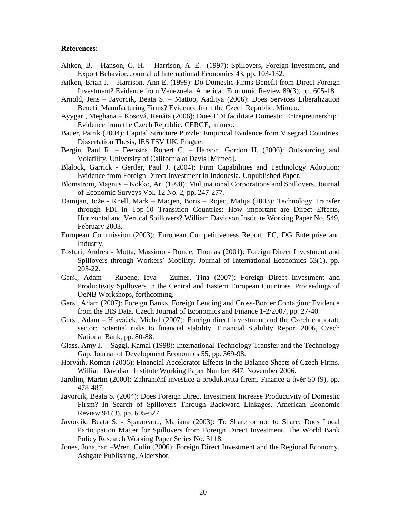#### **References:**

- Aitken, B. Hanson, G. H. Harrison, A. E. (1997): Spillovers, Foreign Investment, and Export Behavior. Journal of International Economics 43, pp. 103-132.
- Aitken, Brian J. Harrison, Ann E. (1999): Do Domestic Firms Benefit from Direct Foreign Investment? Evidence from Venezuela. American Economic Review 89(3), pp. 605-18.
- Arnold, Jens Javorcik, Beata S. Mattoo, Aaditya (2006): Does Services Liberalization Benefit Manufacturing Firms? Evidence from the Czech Republic. Mimeo.
- Ayygari, Meghana Kosová, Renáta (2006): Does FDI facilitate Domestic Entrepreunership? Evidence from the Czech Republic. CERGE, mimeo.
- Bauer, Patrik (2004): Capital Structure Puzzle: Empirical Evidence from Visegrad Countries. Dissertation Thesis, IES FSV UK, Prague.
- Bergin, Paul R. Feenstra, Robert C. Hanson, Gordon H. (2006): Outsourcing and Volatility. University of California at Davis [Mimeo].
- Blalock, Garrick Gertler, Paul J. (2004): Firm Capabilities and Technology Adoption: Evidence from Foreign Direct Investment in Indonesia. Unpublished Paper.
- Blomstrom, Magnus Kokko, Ari (1998): Multinational Corporations and Spillovers. Journal of Economic Surveys Vol. 12 No. 2, pp. 247-277.
- Damijan, Jože Knell, Mark Macjen, Boris Rojec, Matija (2003): Technology Transfer through FDI in Top-10 Transition Countries: How important are Direct Effects, Horizontal and Vertical Spillovers? William Davidson Institute Working Paper No. 549, February 2003.
- European Commission (2003): European Competitiveness Report. EC, DG Enterprise and Industry.
- Fosfuri, Andrea Motta, Massimo Ronde, Thomas (2001): Foreign Direct Investment and Spillovers through Workers' Mobility. Journal of International Economics 53(1), pp. 205-22.
- Geršl, Adam Rubene, Ieva Zumer, Tina (2007): Foreign Direct Investment and Productivity Spillovers in the Central and Eastern European Countries. Proceedings of OeNB Workshops, forthcoming.
- Geršl, Adam (2007): Foreign Banks, Foreign Lending and Cross-Border Contagion: Evidence from the BIS Data. Czech Journal of Economics and Finance 1-2/2007, pp. 27-40.
- Geršl, Adam Hlavá ček, Michal (2007): Foreign direct investment and the Czech corporate sector: potential risks to financial stability. Financial Stability Report 2006, Czech National Bank, pp. 80-88.
- Glass, Amy J. Saggi, Kamal (1998): International Technology Transfer and the Technology Gap. Journal of Development Economics 55, pp. 369-98.
- Horvá th, Roman (2006): Financial Accelerator Effects in the Balance Sheets of Czech Firms. William Davidson Institute Working Paper Number 847, November 2006.
- Jarolím, Martin (2000): Zahraniční investice a produktivita firem. Finance a úvěr 50 (9), pp. 478-487.
- Javorcik, Beata S. (2004): Does Foreign Direct Investment Increase Productivity of Domestic Firsm? In Search of Spillovers Through Backward Linkages. American Economic Review 94 (3), pp. 605-627.
- Javorcik, Beata S. Spatareanu, Mariana (2003): To Share or not to Share: Does Local Participation Matter for Spillovers from Foreign Direct Investment. The World Bank Policy Research Working Paper Series No. 3118.
- Jones, Jonathan Wren, Colin (2006): Foreign Direct Investment and the Regional Economy. Ashgate Publishing, Aldershot.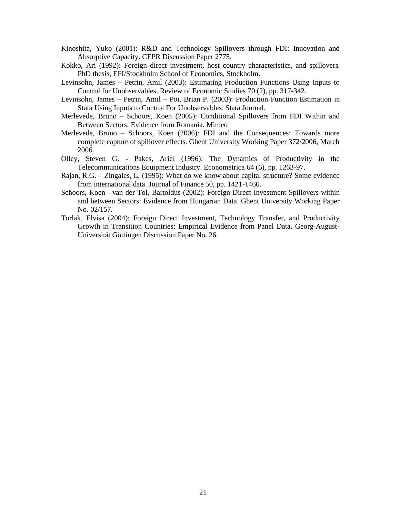- Kinoshita, Yuko (2001): R&D and Technology Spillovers through FDI: Innovation and Absorptive Capacity. CEPR Discussion Paper 2775.
- Kokko, Ari (1992): Foreign direct investment, host country characteristics, and spillovers. PhD thesis, EFI/Stockholm School of Economics, Stockholm.
- Levinsohn, James Petrin, Amil (2003): Estimating Production Functions Using Inputs to Control for Unobservables. Review of Economic Studies 70 (2), pp. 317-342.
- Levinsohn, James Petrin, Amil Poi, Brian P. (2003): Production Function Estimation in Stata Using Inputs to Control For Unobservables. Stata Journal.
- Merlevede, Bruno Schoors, Koen (2005): Conditional Spillovers from FDI Within and Between Sectors: Evidence from Romania. Mimeo
- Merlevede, Bruno Schoors, Koen (2006): FDI and the Consequences: Towards more complete capture of spillover effects. Ghent University Working Paper 372/2006, March 2006.
- Olley, Steven G. Pakes, Ariel (1996): The Dynamics of Productivity in the Telecommunications Equipment Industry. Econometrica 64 (6), pp. 1263-97.
- Rajan, R.G. Zingales, L. (1995): What do we know about capital structure? Some evidence from international data. Journal of Finance 50, pp. 1421-1460.
- Schoors, Koen van der Tol, Bartoldus (2002): Foreign Direct Investment Spillovers within and between Sectors: Evidence from Hungarian Data. Ghent University Working Paper No. 02/157.
- Torlak, Elvisa (2004): Foreign Direct Investment, Technology Transfer, and Productivity Growth in Transition Countries: Empirical Evidence from Panel Data. Georg-August-Universität Göttingen Discussion Paper No. 26.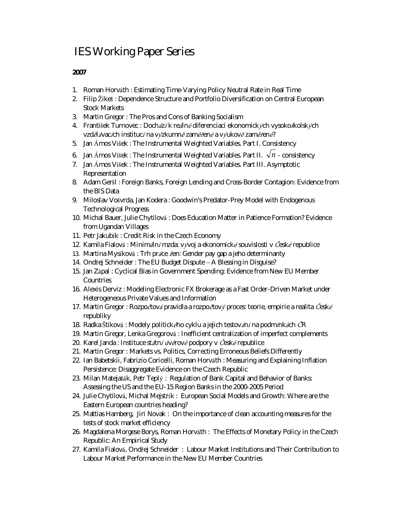### IES Working Paper Series

#### **2007**

- 1. Roman Horváth : *Estimating Time-Varying Policy Neutral Rate in Real Time*
- 2. Filip Ž ikeš : *Dependence Structure and Portfolio Diversification on Central European Stock Markets*
- 3. Martin Gregor : *The Pros and Cons of Banking Socialism*
- 4. František Turnovec : *Doch<sup>á</sup> zí k re<sup>á</sup> lné diferenciaci ekonomický ch vysokoškolský ch*  vzdělávacích institucí na výzkumně zaměřené a výukově zaměřené?
- 5. Jan Á mos Víšek : *The Instrumental Weighted Variables. Part I. Consistency*
- 6. Jan Ámos Víšek : The *Instrumental Weighted Variables. Part II.*  $\sqrt{n}$   *consistency*
- 7. Jan Á mos Víšek : *The Instrumental Weighted Variables. Part III. Asymptotic Representation*
- 8. Adam Geršl : *Foreign Banks, Foreign Lending and Cross-Border Contagion: Evidence from the BIS Data*
- 9. Miloslav Vošvrda, Jan Kodera *: Goodwin's Predator-Prey Model with Endogenous Technological Progress*
- 10. Michal Bauer, Julie Chytilová : *Does Education Matter in Patience Formation? Evidence from Ugandan Villages*
- 11. Petr Jakubík *: Credit Risk in the Czech Economy*
- 12. Kamila Fialová *: Minim<sup>á</sup> lní mzda: vý voj a ekonomické souvislosti v Č eskérepublice*
- 13. Martina Mysíková *: Trh pr<sup>á</sup> ce žen: Gender pay gap a jeho determinanty*
- 14. Ondřej Schneider : *The EU Budget Dispute – A Blessing in Disguise?*
- 15. Jan Zápal : *Cyclical Bias in Government Spending: Evidence from New EU Member Countries*
- 16. Alexis Derviz : *Modeling Electronic FX Brokerage as a Fast Order-Driven Market under Heterogeneous Private Values and Information*
- 17. Martin Gregor : *Rozpočtová pravidla a rozpočtový proces: teorie, empirie a realita Č esk<sup>é</sup> republiky*
- 18. Radka Štiková *: Modely politického cyklu a jejich testov<sup>á</sup> ní na podmínk<sup>á</sup> ch Č R*
- 19. Martin Gregor, Lenka Gregorová : *Inefficient centralization of imperfect complements*
- 20. Karel Janda *: Instituce st<sup>á</sup> tníúvěrové podpory v Č eskérepublice*
- 21. Martin Gregor : *Markets vs. Politics, Correcting Erroneous Beliefs Differently*
- 22. Ian Babetskii, Fabrizio Coricelli, Roman Horváth : *Measuring and Explaining Inflation Persistence: Disaggregate Evidence on the Czech Republic*
- 23. Milan Matejašák, Petr Teplý : *Regulation of Bank Capital and Behavior of Banks: Assessing the US and the EU-15 Region Banks in the 2000-2005 Period*
- 24. Julie Chytilová, Michal Mejstřík : *European Social Models and Growth: Where are the Eastern European countries heading?*
- 25. Mattias Hamberg, Jiri Novak : *On the importance of clean accounting measures for the tests of stock market efficiency*
- 26. Magdalena Morgese Borys, Roman Horváth : *The Effects of Monetary Policy in the Czech Republic: An Empirical Study*
- 27. Kamila Fialová, Ondřej Schneider : *Labour Market Institutions and Their Contribution to Labour Market Performance in the New EU Member Countries*